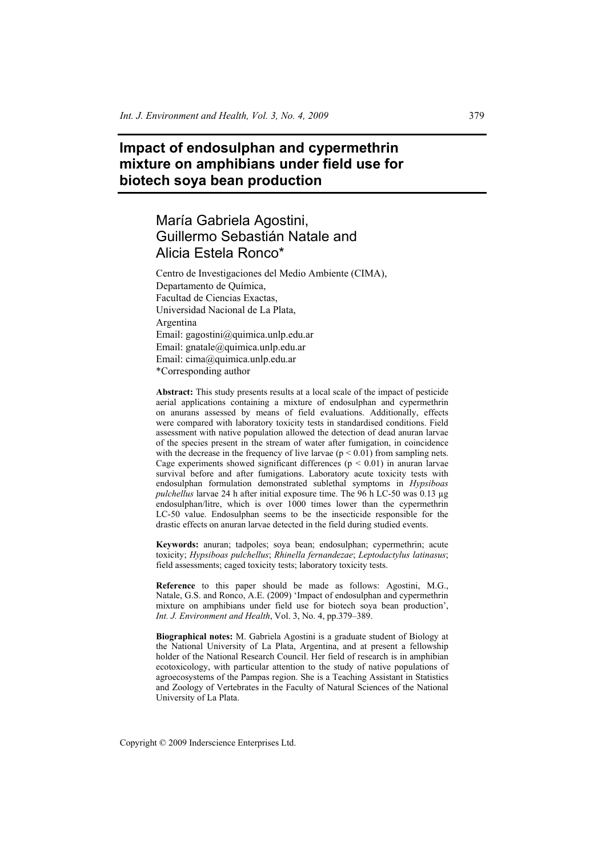# **Impact of endosulphan and cypermethrin mixture on amphibians under field use for biotech soya bean production**

# María Gabriela Agostini, Guillermo Sebastián Natale and Alicia Estela Ronco\*

Centro de Investigaciones del Medio Ambiente (CIMA), Departamento de Química, Facultad de Ciencias Exactas, Universidad Nacional de La Plata, Argentina Email: gagostini@quimica.unlp.edu.ar Email: gnatale@quimica.unlp.edu.ar Email: cima@quimica.unlp.edu.ar \*Corresponding author

**Abstract:** This study presents results at a local scale of the impact of pesticide aerial applications containing a mixture of endosulphan and cypermethrin on anurans assessed by means of field evaluations. Additionally, effects were compared with laboratory toxicity tests in standardised conditions. Field assessment with native population allowed the detection of dead anuran larvae of the species present in the stream of water after fumigation, in coincidence with the decrease in the frequency of live larvae  $(p < 0.01)$  from sampling nets. Cage experiments showed significant differences ( $p \le 0.01$ ) in anuran larvae survival before and after fumigations. Laboratory acute toxicity tests with endosulphan formulation demonstrated sublethal symptoms in *Hypsiboas pulchellus* larvae 24 h after initial exposure time. The 96 h LC-50 was 0.13 µg endosulphan/litre, which is over 1000 times lower than the cypermethrin LC-50 value. Endosulphan seems to be the insecticide responsible for the drastic effects on anuran larvae detected in the field during studied events.

**Keywords:** anuran; tadpoles; soya bean; endosulphan; cypermethrin; acute toxicity; *Hypsiboas pulchellus*; *Rhinella fernandezae*; *Leptodactylus latinasus*; field assessments; caged toxicity tests; laboratory toxicity tests.

**Reference** to this paper should be made as follows: Agostini, M.G., Natale, G.S. and Ronco, A.E. (2009) 'Impact of endosulphan and cypermethrin mixture on amphibians under field use for biotech soya bean production', *Int. J. Environment and Health*, Vol. 3, No. 4, pp.379–389.

**Biographical notes:** M. Gabriela Agostini is a graduate student of Biology at the National University of La Plata, Argentina, and at present a fellowship holder of the National Research Council. Her field of research is in amphibian ecotoxicology, with particular attention to the study of native populations of agroecosystems of the Pampas region. She is a Teaching Assistant in Statistics and Zoology of Vertebrates in the Faculty of Natural Sciences of the National University of La Plata.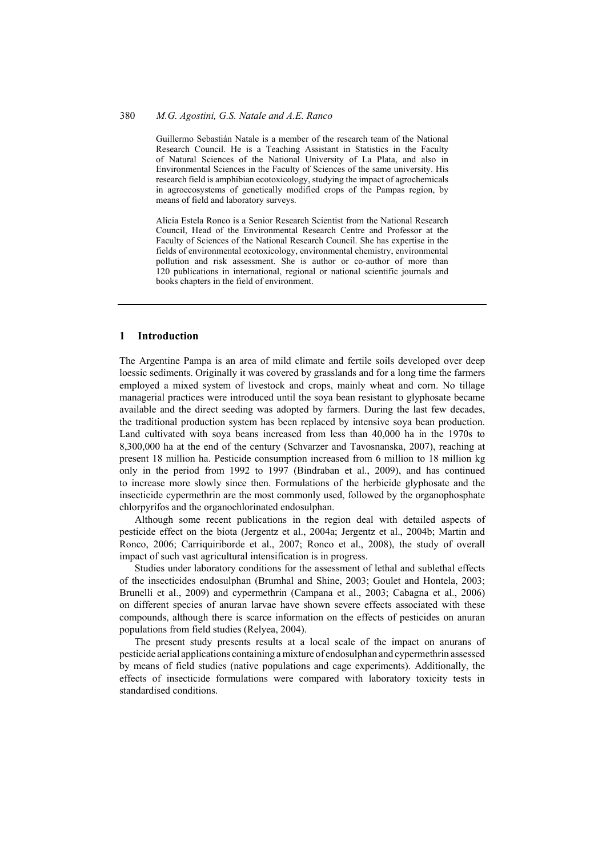Guillermo Sebastián Natale is a member of the research team of the National Research Council. He is a Teaching Assistant in Statistics in the Faculty of Natural Sciences of the National University of La Plata, and also in Environmental Sciences in the Faculty of Sciences of the same university. His research field is amphibian ecotoxicology, studying the impact of agrochemicals in agroecosystems of genetically modified crops of the Pampas region, by means of field and laboratory surveys.

Alicia Estela Ronco is a Senior Research Scientist from the National Research Council, Head of the Environmental Research Centre and Professor at the Faculty of Sciences of the National Research Council. She has expertise in the fields of environmental ecotoxicology, environmental chemistry, environmental pollution and risk assessment. She is author or co-author of more than 120 publications in international, regional or national scientific journals and books chapters in the field of environment.

#### **1 Introduction**

The Argentine Pampa is an area of mild climate and fertile soils developed over deep loessic sediments. Originally it was covered by grasslands and for a long time the farmers employed a mixed system of livestock and crops, mainly wheat and corn. No tillage managerial practices were introduced until the soya bean resistant to glyphosate became available and the direct seeding was adopted by farmers. During the last few decades, the traditional production system has been replaced by intensive soya bean production. Land cultivated with soya beans increased from less than 40,000 ha in the 1970s to 8,300,000 ha at the end of the century (Schvarzer and Tavosnanska, 2007), reaching at present 18 million ha. Pesticide consumption increased from 6 million to 18 million kg only in the period from 1992 to 1997 (Bindraban et al., 2009), and has continued to increase more slowly since then. Formulations of the herbicide glyphosate and the insecticide cypermethrin are the most commonly used, followed by the organophosphate chlorpyrifos and the organochlorinated endosulphan.

Although some recent publications in the region deal with detailed aspects of pesticide effect on the biota (Jergentz et al., 2004a; Jergentz et al., 2004b; Martin and Ronco, 2006; Carriquiriborde et al., 2007; Ronco et al., 2008), the study of overall impact of such vast agricultural intensification is in progress.

Studies under laboratory conditions for the assessment of lethal and sublethal effects of the insecticides endosulphan (Brumhal and Shine, 2003; Goulet and Hontela, 2003; Brunelli et al., 2009) and cypermethrin (Campana et al., 2003; Cabagna et al., 2006) on different species of anuran larvae have shown severe effects associated with these compounds, although there is scarce information on the effects of pesticides on anuran populations from field studies (Relyea, 2004).

The present study presents results at a local scale of the impact on anurans of pesticide aerial applications containing amixture of endosulphan and cypermethrin assessed by means of field studies (native populations and cage experiments). Additionally, the effects of insecticide formulations were compared with laboratory toxicity tests in standardised conditions.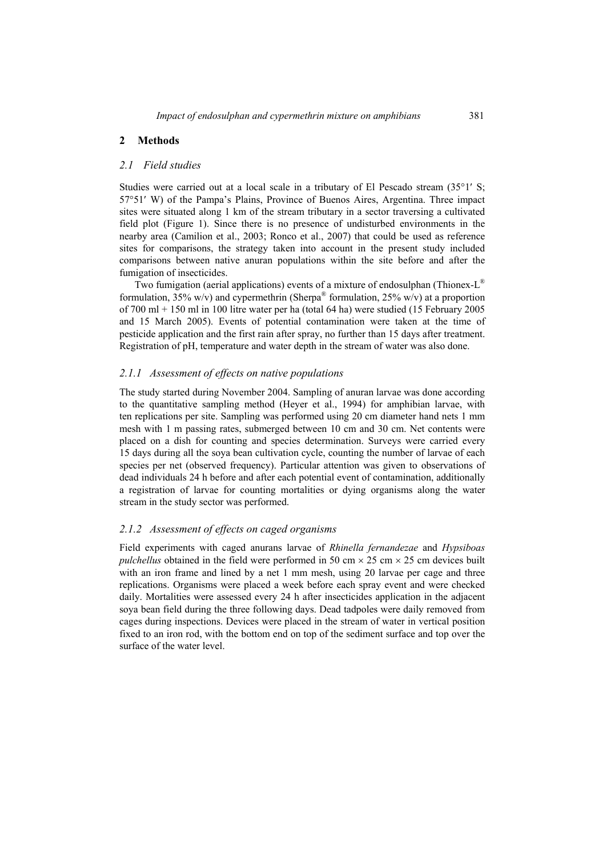# **2 Methods**

### *2.1 Field studies*

Studies were carried out at a local scale in a tributary of El Pescado stream (35°1′ S; 57°51′ W) of the Pampa's Plains, Province of Buenos Aires, Argentina. Three impact sites were situated along 1 km of the stream tributary in a sector traversing a cultivated field plot (Figure 1). Since there is no presence of undisturbed environments in the nearby area (Camilion et al., 2003; Ronco et al., 2007) that could be used as reference sites for comparisons, the strategy taken into account in the present study included comparisons between native anuran populations within the site before and after the fumigation of insecticides.

Two fumigation (aerial applications) events of a mixture of endosulphan (Thionex- $L^{\mathcal{D}}$ formulation,  $35\%$  w/v) and cypermethrin (Sherpa® formulation,  $25\%$  w/v) at a proportion of 700 ml + 150 ml in 100 litre water per ha (total 64 ha) were studied (15 February 2005 and 15 March 2005). Events of potential contamination were taken at the time of pesticide application and the first rain after spray, no further than 15 days after treatment. Registration of pH, temperature and water depth in the stream of water was also done.

# *2.1.1 Assessment of effects on native populations*

The study started during November 2004. Sampling of anuran larvae was done according to the quantitative sampling method (Heyer et al., 1994) for amphibian larvae, with ten replications per site. Sampling was performed using 20 cm diameter hand nets 1 mm mesh with 1 m passing rates, submerged between 10 cm and 30 cm. Net contents were placed on a dish for counting and species determination. Surveys were carried every 15 days during all the soya bean cultivation cycle, counting the number of larvae of each species per net (observed frequency). Particular attention was given to observations of dead individuals 24 h before and after each potential event of contamination, additionally a registration of larvae for counting mortalities or dying organisms along the water stream in the study sector was performed.

# *2.1.2 Assessment of effects on caged organisms*

Field experiments with caged anurans larvae of *Rhinella fernandezae* and *Hypsiboas pulchellus* obtained in the field were performed in 50 cm  $\times$  25 cm  $\times$  25 cm devices built with an iron frame and lined by a net 1 mm mesh, using 20 larvae per cage and three replications. Organisms were placed a week before each spray event and were checked daily. Mortalities were assessed every 24 h after insecticides application in the adjacent soya bean field during the three following days. Dead tadpoles were daily removed from cages during inspections. Devices were placed in the stream of water in vertical position fixed to an iron rod, with the bottom end on top of the sediment surface and top over the surface of the water level.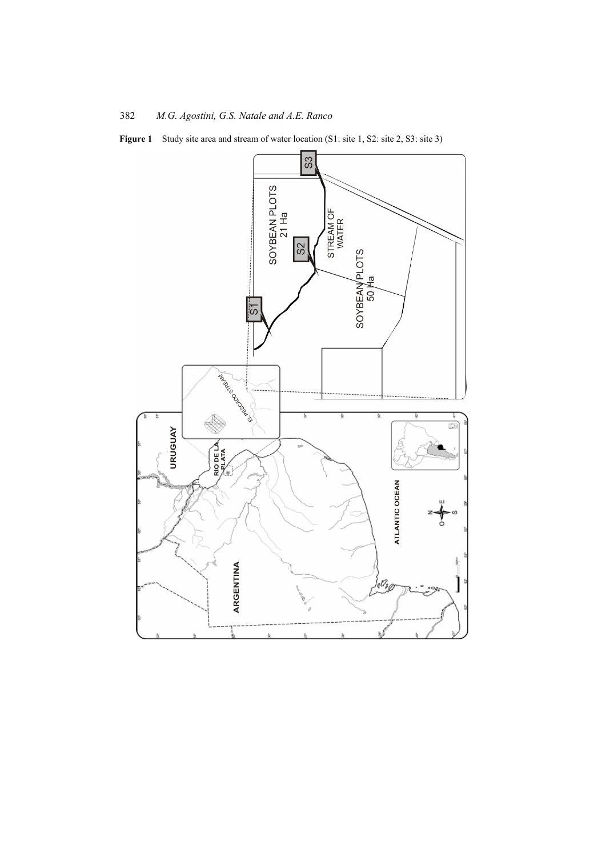**Figure 1** Study site area and stream of water location (S1: site 1, S2: site 2, S3: site 3)

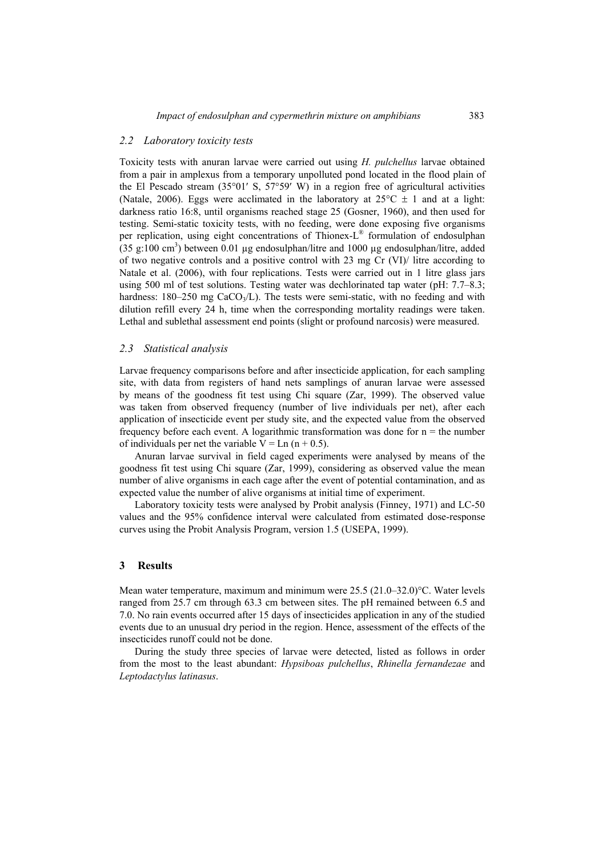### *2.2 Laboratory toxicity tests*

Toxicity tests with anuran larvae were carried out using *H. pulchellus* larvae obtained from a pair in amplexus from a temporary unpolluted pond located in the flood plain of the El Pescado stream (35°01′ S, 57°59′ W) in a region free of agricultural activities (Natale, 2006). Eggs were acclimated in the laboratory at  $25^{\circ}$ C  $\pm$  1 and at a light: darkness ratio 16:8, until organisms reached stage 25 (Gosner, 1960), and then used for testing. Semi-static toxicity tests, with no feeding, were done exposing five organisms per replication, using eight concentrations of Thionex-L® formulation of endosulphan  $(35 \text{ g}:100 \text{ cm}^3)$  between 0.01 µg endosulphan/litre and 1000 µg endosulphan/litre, added of two negative controls and a positive control with 23 mg Cr (VI)/ litre according to Natale et al. (2006), with four replications. Tests were carried out in 1 litre glass jars using 500 ml of test solutions. Testing water was dechlorinated tap water (pH: 7.7–8.3; hardness:  $180-250$  mg  $CaCO<sub>3</sub>/L$ ). The tests were semi-static, with no feeding and with dilution refill every 24 h, time when the corresponding mortality readings were taken. Lethal and sublethal assessment end points (slight or profound narcosis) were measured.

#### *2.3 Statistical analysis*

Larvae frequency comparisons before and after insecticide application, for each sampling site, with data from registers of hand nets samplings of anuran larvae were assessed by means of the goodness fit test using Chi square (Zar, 1999). The observed value was taken from observed frequency (number of live individuals per net), after each application of insecticide event per study site, and the expected value from the observed frequency before each event. A logarithmic transformation was done for  $n =$  the number of individuals per net the variable  $V = \text{Ln} (n + 0.5)$ .

Anuran larvae survival in field caged experiments were analysed by means of the goodness fit test using Chi square (Zar, 1999), considering as observed value the mean number of alive organisms in each cage after the event of potential contamination, and as expected value the number of alive organisms at initial time of experiment.

Laboratory toxicity tests were analysed by Probit analysis (Finney, 1971) and LC-50 values and the 95% confidence interval were calculated from estimated dose-response curves using the Probit Analysis Program, version 1.5 (USEPA, 1999).

### **3 Results**

Mean water temperature, maximum and minimum were 25.5 (21.0–32.0)°C. Water levels ranged from 25.7 cm through 63.3 cm between sites. The pH remained between 6.5 and 7.0. No rain events occurred after 15 days of insecticides application in any of the studied events due to an unusual dry period in the region. Hence, assessment of the effects of the insecticides runoff could not be done.

During the study three species of larvae were detected, listed as follows in order from the most to the least abundant: *Hypsiboas pulchellus*, *Rhinella fernandezae* and *Leptodactylus latinasus*.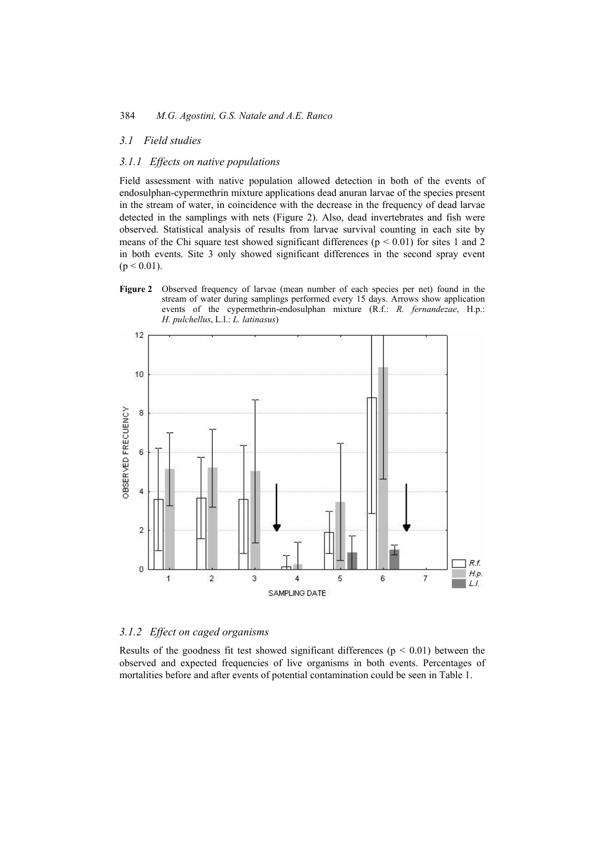# *3.1 Field studies*

## *3.1.1 Effects on native populations*

Field assessment with native population allowed detection in both of the events of endosulphan-cypermethrin mixture applications dead anuran larvae of the species present in the stream of water, in coincidence with the decrease in the frequency of dead larvae detected in the samplings with nets (Figure 2). Also, dead invertebrates and fish were observed. Statistical analysis of results from larvae survival counting in each site by means of the Chi square test showed significant differences ( $p < 0.01$ ) for sites 1 and 2 in both events. Site 3 only showed significant differences in the second spray event  $(p < 0.01)$ .

**Figure 2** Observed frequency of larvae (mean number of each species per net) found in the stream of water during samplings performed every 15 days. Arrows show application events of the cypermethrin-endosulphan mixture (R.f.: *R. fernandezae*, H.p.: *H. pulchellus*, L.l.: *L. latinasus*)



# *3.1.2 Effect on caged organisms*

Results of the goodness fit test showed significant differences ( $p < 0.01$ ) between the observed and expected frequencies of live organisms in both events. Percentages of mortalities before and after events of potential contamination could be seen in Table 1.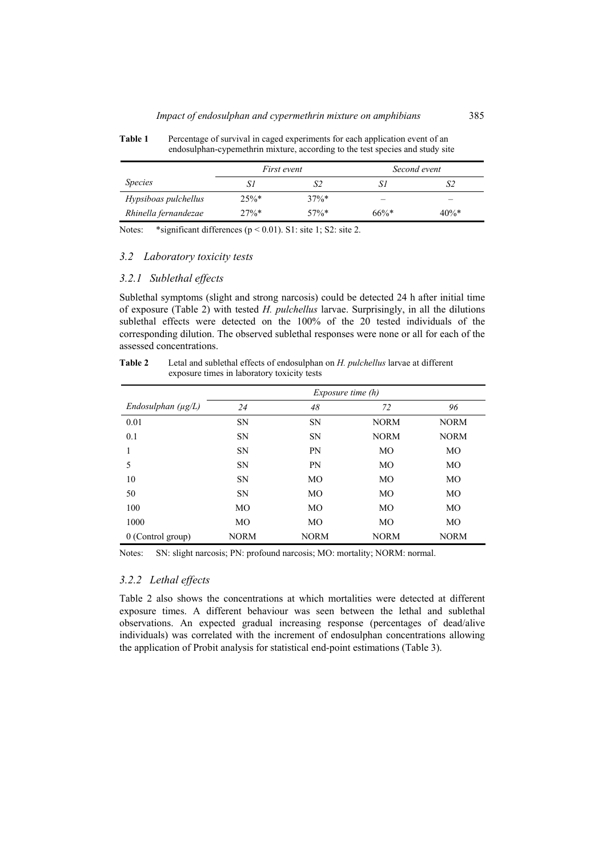Table 1 Percentage of survival in caged experiments for each application event of an endosulphan-cypemethrin mixture, according to the test species and study site

|                      | <i>First event</i> |         | Second event |         |
|----------------------|--------------------|---------|--------------|---------|
| <i>Species</i>       | Si                 | S2      |              |         |
| Hypsiboas pulchellus | 25%                | $37\%*$ | -            | _       |
| Rhinella fernandezae | $27\%*$            | $57\%*$ | $66\%*$      | $40\%*$ |

Notes: \*significant differences ( $p < 0.01$ ). S1: site 1; S2: site 2.

# *3.2 Laboratory toxicity tests*

## *3.2.1 Sublethal effects*

Sublethal symptoms (slight and strong narcosis) could be detected 24 h after initial time of exposure (Table 2) with tested *H. pulchellus* larvae. Surprisingly, in all the dilutions sublethal effects were detected on the 100% of the 20 tested individuals of the corresponding dilution. The observed sublethal responses were none or all for each of the assessed concentrations.

| Table 2 | Letal and sublethal effects of endosulphan on H. pulchellus larvae at different<br>exposure times in laboratory toxicity tests |  |  |
|---------|--------------------------------------------------------------------------------------------------------------------------------|--|--|
|         | Exposure time (h)                                                                                                              |  |  |

|                         | <i>Exposure time <math>(h)</math></i> |                |             |             |
|-------------------------|---------------------------------------|----------------|-------------|-------------|
| Endosulphan $(\mu g/L)$ | 24                                    | 48             | 72          | 96          |
| 0.01                    | <b>SN</b>                             | <b>SN</b>      | <b>NORM</b> | <b>NORM</b> |
| 0.1                     | SN                                    | <b>SN</b>      | <b>NORM</b> | <b>NORM</b> |
|                         | <b>SN</b>                             | PN             | MO          | MO          |
| 5                       | <b>SN</b>                             | PN             | MO          | MO          |
| 10                      | <b>SN</b>                             | MO             | <b>MO</b>   | <b>MO</b>   |
| 50                      | <b>SN</b>                             | MO             | MO          | MO          |
| 100                     | <b>MO</b>                             | M <sub>O</sub> | MO          | MO          |
| 1000                    | MO                                    | MO             | MO          | MO          |
| 0 (Control group)       | <b>NORM</b>                           | <b>NORM</b>    | <b>NORM</b> | <b>NORM</b> |

Notes: SN: slight narcosis; PN: profound narcosis; MO: mortality; NORM: normal.

# *3.2.2 Lethal effects*

Table 2 also shows the concentrations at which mortalities were detected at different exposure times. A different behaviour was seen between the lethal and sublethal observations. An expected gradual increasing response (percentages of dead/alive individuals) was correlated with the increment of endosulphan concentrations allowing the application of Probit analysis for statistical end-point estimations (Table 3).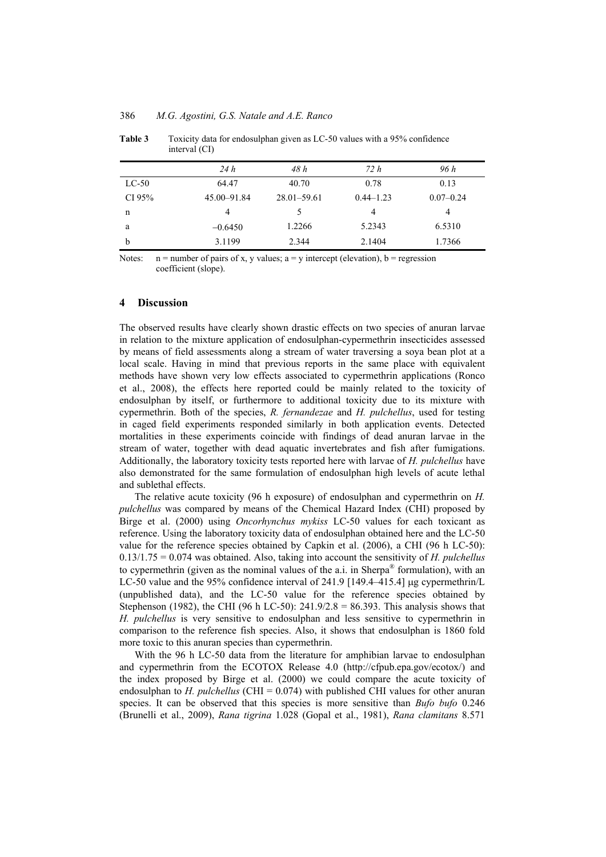|         | 24h         | 48 h            | 72 h          | 96 h          |
|---------|-------------|-----------------|---------------|---------------|
| $LC-50$ | 64.47       | 40.70           | 0.78          | 0.13          |
| CI 95%  | 45.00-91.84 | $28.01 - 59.61$ | $0.44 - 1.23$ | $0.07 - 0.24$ |
| n       | 4           |                 | 4             | 4             |
| a       | $-0.6450$   | 1.2266          | 5.2343        | 6.5310        |
| b       | 3.1199      | 2.344           | 2.1404        | 1.7366        |

**Table 3** Toxicity data for endosulphan given as LC-50 values with a 95% confidence interval (CI)

Notes:  $n =$  number of pairs of x, y values;  $a = y$  intercept (elevation),  $b =$  regression coefficient (slope).

#### **4 Discussion**

The observed results have clearly shown drastic effects on two species of anuran larvae in relation to the mixture application of endosulphan-cypermethrin insecticides assessed by means of field assessments along a stream of water traversing a soya bean plot at a local scale. Having in mind that previous reports in the same place with equivalent methods have shown very low effects associated to cypermethrin applications (Ronco et al., 2008), the effects here reported could be mainly related to the toxicity of endosulphan by itself, or furthermore to additional toxicity due to its mixture with cypermethrin. Both of the species, *R. fernandezae* and *H. pulchellus*, used for testing in caged field experiments responded similarly in both application events. Detected mortalities in these experiments coincide with findings of dead anuran larvae in the stream of water, together with dead aquatic invertebrates and fish after fumigations. Additionally, the laboratory toxicity tests reported here with larvae of *H. pulchellus* have also demonstrated for the same formulation of endosulphan high levels of acute lethal and sublethal effects.

The relative acute toxicity (96 h exposure) of endosulphan and cypermethrin on *H. pulchellus* was compared by means of the Chemical Hazard Index (CHI) proposed by Birge et al. (2000) using *Oncorhynchus mykiss* LC-50 values for each toxicant as reference. Using the laboratory toxicity data of endosulphan obtained here and the LC-50 value for the reference species obtained by Capkin et al. (2006), a CHI (96 h LC-50): 0.13/1.75 = 0.074 was obtained. Also, taking into account the sensitivity of *H. pulchellus* to cypermethrin (given as the nominal values of the a.i. in Sherpa<sup>®</sup> formulation), with an LC-50 value and the 95% confidence interval of 241.9 [149.4–415.4] μg cypermethrin/L (unpublished data), and the LC-50 value for the reference species obtained by Stephenson (1982), the CHI (96 h LC-50):  $241.9/2.8 = 86.393$ . This analysis shows that *H. pulchellus* is very sensitive to endosulphan and less sensitive to cypermethrin in comparison to the reference fish species. Also, it shows that endosulphan is 1860 fold more toxic to this anuran species than cypermethrin.

With the 96 h LC-50 data from the literature for amphibian larvae to endosulphan and cypermethrin from the ECOTOX Release 4.0 (http://cfpub.epa.gov/ecotox/) and the index proposed by Birge et al. (2000) we could compare the acute toxicity of endosulphan to *H. pulchellus* (CHI = 0.074) with published CHI values for other anuran species. It can be observed that this species is more sensitive than *Bufo bufo* 0.246 (Brunelli et al., 2009), *Rana tigrina* 1.028 (Gopal et al., 1981), *Rana clamitans* 8.571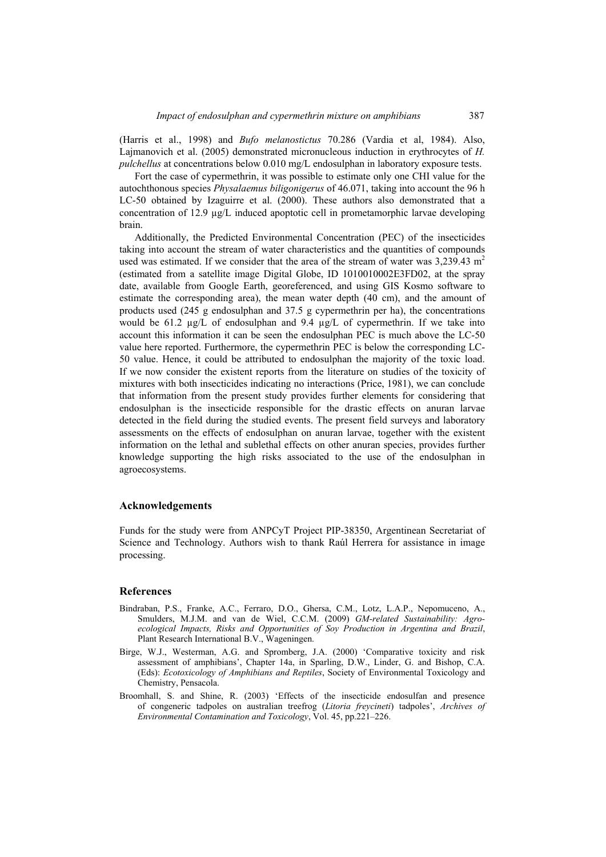(Harris et al., 1998) and *Bufo melanostictus* 70.286 (Vardia et al, 1984). Also, Lajmanovich et al. (2005) demonstrated micronucleous induction in erythrocytes of *H. pulchellus* at concentrations below 0.010 mg/L endosulphan in laboratory exposure tests.

Fort the case of cypermethrin, it was possible to estimate only one CHI value for the autochthonous species *Physalaemus biligonigerus* of 46.071, taking into account the 96 h LC-50 obtained by Izaguirre et al. (2000). These authors also demonstrated that a concentration of 12.9 µg/L induced apoptotic cell in prometamorphic larvae developing brain.

Additionally, the Predicted Environmental Concentration (PEC) of the insecticides taking into account the stream of water characteristics and the quantities of compounds used was estimated. If we consider that the area of the stream of water was  $3,239.43 \text{ m}^2$ (estimated from a satellite image Digital Globe, ID 1010010002E3FD02, at the spray date, available from Google Earth, georeferenced, and using GIS Kosmo software to estimate the corresponding area), the mean water depth (40 cm), and the amount of products used (245 g endosulphan and 37.5 g cypermethrin per ha), the concentrations would be 61.2  $\mu$ g/L of endosulphan and 9.4  $\mu$ g/L of cypermethrin. If we take into account this information it can be seen the endosulphan PEC is much above the LC-50 value here reported. Furthermore, the cypermethrin PEC is below the corresponding LC-50 value. Hence, it could be attributed to endosulphan the majority of the toxic load. If we now consider the existent reports from the literature on studies of the toxicity of mixtures with both insecticides indicating no interactions (Price, 1981), we can conclude that information from the present study provides further elements for considering that endosulphan is the insecticide responsible for the drastic effects on anuran larvae detected in the field during the studied events. The present field surveys and laboratory assessments on the effects of endosulphan on anuran larvae, together with the existent information on the lethal and sublethal effects on other anuran species, provides further knowledge supporting the high risks associated to the use of the endosulphan in agroecosystems.

## **Acknowledgements**

Funds for the study were from ANPCyT Project PIP-38350, Argentinean Secretariat of Science and Technology. Authors wish to thank Raúl Herrera for assistance in image processing.

#### **References**

- Bindraban, P.S., Franke, A.C., Ferraro, D.O., Ghersa, C.M., Lotz, L.A.P., Nepomuceno, A., Smulders, M.J.M. and van de Wiel, C.C.M. (2009) *GM-related Sustainability: Agroecological Impacts, Risks and Opportunities of Soy Production in Argentina and Brazil*, Plant Research International B.V., Wageningen.
- Birge, W.J., Westerman, A.G. and Spromberg, J.A. (2000) 'Comparative toxicity and risk assessment of amphibians', Chapter 14a, in Sparling, D.W., Linder, G. and Bishop, C.A. (Eds): *Ecotoxicology of Amphibians and Reptiles*, Society of Environmental Toxicology and Chemistry, Pensacola.
- Broomhall, S. and Shine, R. (2003) 'Effects of the insecticide endosulfan and presence of congeneric tadpoles on australian treefrog (*Litoria freycineti*) tadpoles', *Archives of Environmental Contamination and Toxicology*, Vol. 45, pp.221–226.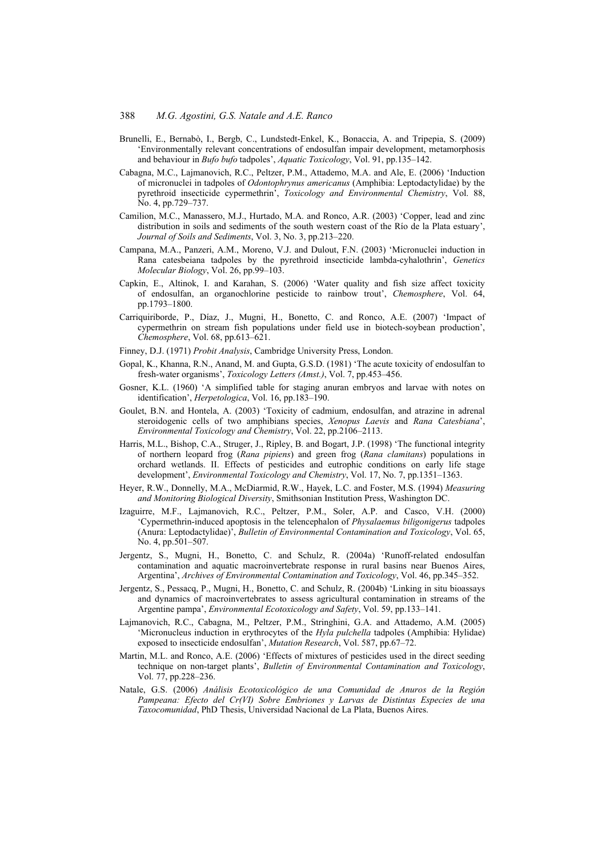- Brunelli, E., Bernabò, I., Bergb, C., Lundstedt-Enkel, K., Bonaccia, A. and Tripepia, S. (2009) 'Environmentally relevant concentrations of endosulfan impair development, metamorphosis and behaviour in *Bufo bufo* tadpoles', *Aquatic Toxicology*, Vol. 91, pp.135–142.
- Cabagna, M.C., Lajmanovich, R.C., Peltzer, P.M., Attademo, M.A. and Ale, E. (2006) 'Induction of micronuclei in tadpoles of *Odontophrynus americanus* (Amphibia: Leptodactylidae) by the pyrethroid insecticide cypermethrin', *Toxicology and Environmental Chemistry*, Vol. 88, No. 4, pp.729–737.
- Camilion, M.C., Manassero, M.J., Hurtado, M.A. and Ronco, A.R. (2003) 'Copper, lead and zinc distribution in soils and sediments of the south western coast of the Río de la Plata estuary', *Journal of Soils and Sediments*, Vol. 3, No. 3, pp.213–220.
- Campana, M.A., Panzeri, A.M., Moreno, V.J. and Dulout, F.N. (2003) 'Micronuclei induction in Rana catesbeiana tadpoles by the pyrethroid insecticide lambda-cyhalothrin', *Genetics Molecular Biology*, Vol. 26, pp.99–103.
- Capkin, E., Altinok, I. and Karahan, S. (2006) 'Water quality and fish size affect toxicity of endosulfan, an organochlorine pesticide to rainbow trout', *Chemosphere*, Vol. 64, pp.1793–1800.
- Carriquiriborde, P., Díaz, J., Mugni, H., Bonetto, C. and Ronco, A.E. (2007) 'Impact of cypermethrin on stream fish populations under field use in biotech-soybean production', *Chemosphere*, Vol. 68, pp.613–621.
- Finney, D.J. (1971) *Probit Analysis*, Cambridge University Press, London.
- Gopal, K., Khanna, R.N., Anand, M. and Gupta, G.S.D. (1981) 'The acute toxicity of endosulfan to fresh-water organisms', *Toxicology Letters (Amst.)*, Vol. 7, pp.453–456.
- Gosner, K.L. (1960) 'A simplified table for staging anuran embryos and larvae with notes on identification', *Herpetologica*, Vol. 16, pp.183–190.
- Goulet, B.N. and Hontela, A. (2003) 'Toxicity of cadmium, endosulfan, and atrazine in adrenal steroidogenic cells of two amphibians species, *Xenopus Laevis* and *Rana Catesbiana*', *Environmental Toxicology and Chemistry*, Vol. 22, pp.2106–2113.
- Harris, M.L., Bishop, C.A., Struger, J., Ripley, B. and Bogart, J.P. (1998) 'The functional integrity of northern leopard frog (*Rana pipiens*) and green frog (*Rana clamitans*) populations in orchard wetlands. II. Effects of pesticides and eutrophic conditions on early life stage development', *Environmental Toxicology and Chemistry*, Vol. 17, No. 7, pp.1351–1363.
- Heyer, R.W., Donnelly, M.A., McDiarmid, R.W., Hayek, L.C. and Foster, M.S. (1994) *Measuring and Monitoring Biological Diversity*, Smithsonian Institution Press, Washington DC.
- Izaguirre, M.F., Lajmanovich, R.C., Peltzer, P.M., Soler, A.P. and Casco, V.H. (2000) 'Cypermethrin-induced apoptosis in the telencephalon of *Physalaemus biligonigerus* tadpoles (Anura: Leptodactylidae)', *Bulletin of Environmental Contamination and Toxicology*, Vol. 65, No. 4, pp.501–507.
- Jergentz, S., Mugni, H., Bonetto, C. and Schulz, R. (2004a) 'Runoff-related endosulfan contamination and aquatic macroinvertebrate response in rural basins near Buenos Aires, Argentina', *Archives of Environmental Contamination and Toxicology*, Vol. 46, pp.345–352.
- Jergentz, S., Pessacq, P., Mugni, H., Bonetto, C. and Schulz, R. (2004b) 'Linking in situ bioassays and dynamics of macroinvertebrates to assess agricultural contamination in streams of the Argentine pampa', *Environmental Ecotoxicology and Safety*, Vol. 59, pp.133–141.
- Lajmanovich, R.C., Cabagna, M., Peltzer, P.M., Stringhini, G.A. and Attademo, A.M. (2005) 'Micronucleus induction in erythrocytes of the *Hyla pulchella* tadpoles (Amphibia: Hylidae) exposed to insecticide endosulfan', *Mutation Research*, Vol. 587, pp.67–72.
- Martin, M.L. and Ronco, A.E. (2006) 'Effects of mixtures of pesticides used in the direct seeding technique on non-target plants', *Bulletin of Environmental Contamination and Toxicology*, Vol. 77, pp.228–236.
- Natale, G.S. (2006) *Análisis Ecotoxicológico de una Comunidad de Anuros de la Región Pampeana: Efecto del Cr(VI) Sobre Embriones y Larvas de Distintas Especies de una Taxocomunidad*, PhD Thesis, Universidad Nacional de La Plata, Buenos Aires.